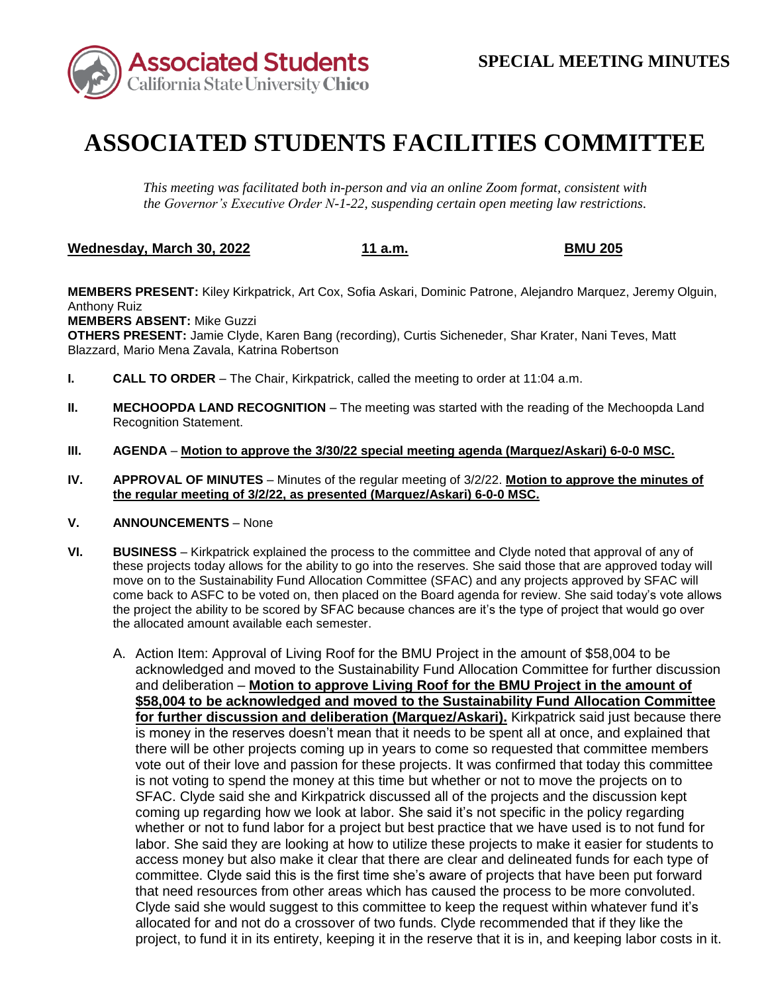

## **ASSOCIATED STUDENTS FACILITIES COMMITTEE**

*This meeting was facilitated both in-person and via an online Zoom format, consistent with the Governor's Executive Order N-1-22, suspending certain open meeting law restrictions.* 

**Wednesday, March 30, 2022 11 a.m. BMU 205** 

**MEMBERS PRESENT:** Kiley Kirkpatrick, Art Cox, Sofia Askari, Dominic Patrone, Alejandro Marquez, Jeremy Olguin, Anthony Ruiz

**MEMBERS ABSENT:** Mike Guzzi

**OTHERS PRESENT:** Jamie Clyde, Karen Bang (recording), Curtis Sicheneder, Shar Krater, Nani Teves, Matt Blazzard, Mario Mena Zavala, Katrina Robertson

- **I. CALL TO ORDER**  The Chair, Kirkpatrick, called the meeting to order at 11:04 a.m.
- **II. MECHOOPDA LAND RECOGNITION** The meeting was started with the reading of the Mechoopda Land Recognition Statement.
- **III. AGENDA Motion to approve the 3/30/22 special meeting agenda (Marquez/Askari) 6-0-0 MSC.**
- **IV. APPROVAL OF MINUTES**  Minutes of the regular meeting of 3/2/22. **Motion to approve the minutes of the regular meeting of 3/2/22, as presented (Marquez/Askari) 6-0-0 MSC.**
- **V. ANNOUNCEMENTS**  None
- these projects today allows for the ability to go into the reserves. She said those that are approved today will come back to ASFC to be voted on, then placed on the Board agenda for review. She said today's vote allows the project the ability to be scored by SFAC because chances are it's the type of project that would go over **VI. BUSINESS** – Kirkpatrick explained the process to the committee and Clyde noted that approval of any of move on to the Sustainability Fund Allocation Committee (SFAC) and any projects approved by SFAC will the allocated amount available each semester.
	- A. Action Item: Approval of Living Roof for the BMU Project in the amount of \$58,004 to be acknowledged and moved to the Sustainability Fund Allocation Committee for further discussion  and deliberation – **Motion to approve Living Roof for the BMU Project in the amount of \$58,004 to be acknowledged and moved to the Sustainability Fund Allocation Committee**  is money in the reserves doesn't mean that it needs to be spent all at once, and explained that there will be other projects coming up in years to come so requested that committee members vote out of their love and passion for these projects. It was confirmed that today this committee is not voting to spend the money at this time but whether or not to move the projects on to SFAC. Clyde said she and Kirkpatrick discussed all of the projects and the discussion kept coming up regarding how we look at labor. She said it's not specific in the policy regarding whether or not to fund labor for a project but best practice that we have used is to not fund for labor. She said they are looking at how to utilize these projects to make it easier for students to access money but also make it clear that there are clear and delineated funds for each type of committee. Clyde said this is the first time she's aware of projects that have been put forward that need resources from other areas which has caused the process to be more convoluted. allocated for and not do a crossover of two funds. Clyde recommended that if they like the project, to fund it in its entirety, keeping it in the reserve that it is in, and keeping labor costs in it. **for further discussion and deliberation (Marquez/Askari).** Kirkpatrick said just because there Clyde said she would suggest to this committee to keep the request within whatever fund it's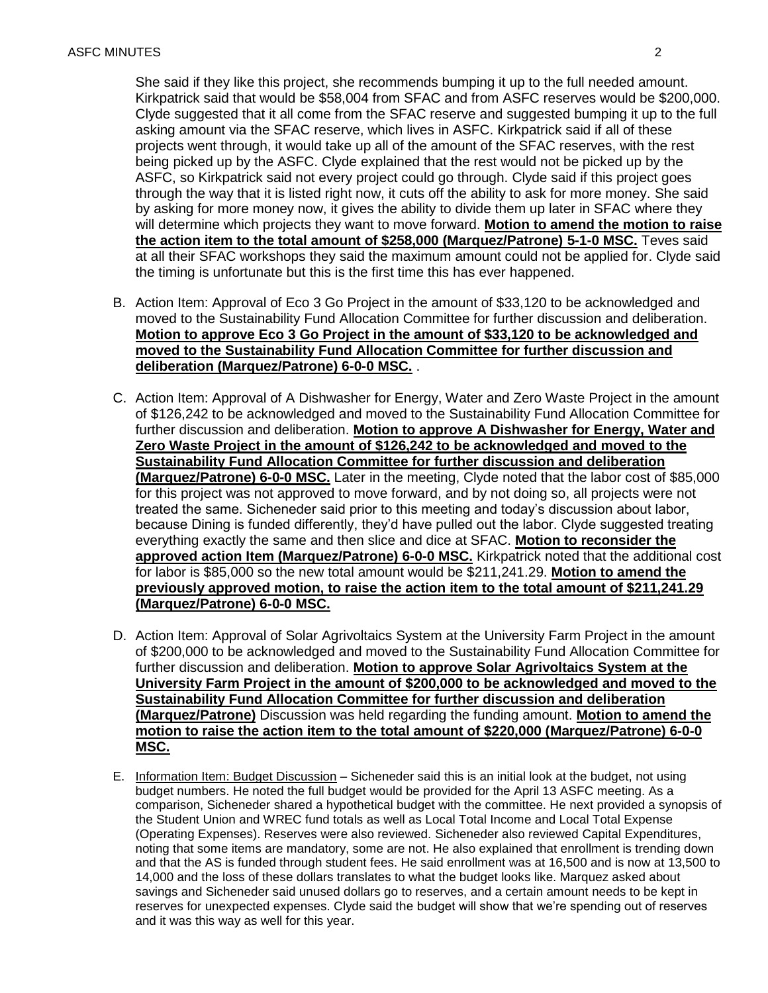She said if they like this project, she recommends bumping it up to the full needed amount. Kirkpatrick said that would be \$58,004 from SFAC and from ASFC reserves would be \$200,000. Clyde suggested that it all come from the SFAC reserve and suggested bumping it up to the full asking amount via the SFAC reserve, which lives in ASFC. Kirkpatrick said if all of these projects went through, it would take up all of the amount of the SFAC reserves, with the rest being picked up by the ASFC. Clyde explained that the rest would not be picked up by the ASFC, so Kirkpatrick said not every project could go through. Clyde said if this project goes through the way that it is listed right now, it cuts off the ability to ask for more money. She said by asking for more money now, it gives the ability to divide them up later in SFAC where they will determine which projects they want to move forward. **Motion to amend the motion to raise the action item to the total amount of \$258,000 (Marquez/Patrone) 5-1-0 MSC.** Teves said at all their SFAC workshops they said the maximum amount could not be applied for. Clyde said the timing is unfortunate but this is the first time this has ever happened.

- B. Action Item: Approval of Eco 3 Go Project in the amount of \$33,120 to be acknowledged and moved to the Sustainability Fund Allocation Committee for further discussion and deliberation.  **Motion to approve Eco 3 Go Project in the amount of \$33,120 to be acknowledged and moved to the Sustainability Fund Allocation Committee for further discussion and deliberation (Marquez/Patrone) 6-0-0 MSC.** .
- C. Action Item: Approval of A Dishwasher for Energy, Water and Zero Waste Project in the amount of \$126,242 to be acknowledged and moved to the Sustainability Fund Allocation Committee for further discussion and deliberation. **Motion to approve A Dishwasher for Energy, Water and Zero Waste Project in the amount of \$126,242 to be acknowledged and moved to the Sustainability Fund Allocation Committee for further discussion and deliberation (Marquez/Patrone) 6-0-0 MSC.** Later in the meeting, Clyde noted that the labor cost of \$85,000 for this project was not approved to move forward, and by not doing so, all projects were not treated the same. Sicheneder said prior to this meeting and today's discussion about labor, because Dining is funded differently, they'd have pulled out the labor. Clyde suggested treating everything exactly the same and then slice and dice at SFAC. **Motion to reconsider the approved action Item (Marquez/Patrone) 6-0-0 MSC.** Kirkpatrick noted that the additional cost for labor is \$85,000 so the new total amount would be [\\$211,241.29.](https://211,241.29) **Motion to amend the previously approved motion, to raise the action item to the total amount of \$[211,241.29](https://211,241.29) (Marquez/Patrone) 6-0-0 MSC.**
- D. Action Item: Approval of Solar Agrivoltaics System at the University Farm Project in the amount of \$200,000 to be acknowledged and moved to the Sustainability Fund Allocation Committee for further discussion and deliberation. **Motion to approve Solar Agrivoltaics System at the University Farm Project in the amount of \$200,000 to be acknowledged and moved to the Sustainability Fund Allocation Committee for further discussion and deliberation (Marquez/Patrone)** Discussion was held regarding the funding amount. **Motion to amend the motion to raise the action item to the total amount of \$220,000 (Marquez/Patrone) 6-0-0 MSC.**
- E. Information Item: Budget Discussion Sicheneder said this is an initial look at the budget, not using the Student Union and WREC fund totals as well as Local Total Income and Local Total Expense and it was this way as well for this year. budget numbers. He noted the full budget would be provided for the April 13 ASFC meeting. As a comparison, Sicheneder shared a hypothetical budget with the committee. He next provided a synopsis of (Operating Expenses). Reserves were also reviewed. Sicheneder also reviewed Capital Expenditures, noting that some items are mandatory, some are not. He also explained that enrollment is trending down and that the AS is funded through student fees. He said enrollment was at 16,500 and is now at 13,500 to 14,000 and the loss of these dollars translates to what the budget looks like. Marquez asked about savings and Sicheneder said unused dollars go to reserves, and a certain amount needs to be kept in reserves for unexpected expenses. Clyde said the budget will show that we're spending out of reserves